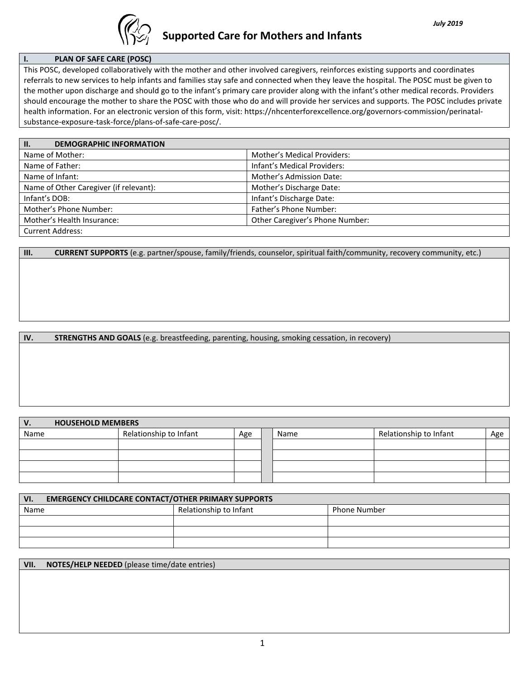

## **I. PLAN OF SAFE CARE (POSC)**

This POSC, developed collaboratively with the mother and other involved caregivers, reinforces existing supports and coordinates referrals to new services to help infants and families stay safe and connected when they leave the hospital. The POSC must be given to the mother upon discharge and should go to the infant's primary care provider along with the infant's other medical records. Providers should encourage the mother to share the POSC with those who do and will provide her services and supports. The POSC includes private health information. For an electronic version of this form, visit: https://nhcenterforexcellence.org/governors-commission/perinatalsubstance-exposure-task-force/plans-of-safe-care-posc/.

| $\overline{\mathsf{h}}$ .<br><b>DEMOGRAPHIC INFORMATION</b> |                                    |
|-------------------------------------------------------------|------------------------------------|
| Name of Mother:                                             | <b>Mother's Medical Providers:</b> |
| Name of Father:                                             | Infant's Medical Providers:        |
| Name of Infant:                                             | Mother's Admission Date:           |
| Name of Other Caregiver (if relevant):                      | Mother's Discharge Date:           |
| Infant's DOB:                                               | Infant's Discharge Date:           |
| Mother's Phone Number:                                      | Father's Phone Number:             |
| Mother's Health Insurance:                                  | Other Caregiver's Phone Number:    |
| <b>Current Address:</b>                                     |                                    |

**III. CURRENT SUPPORTS** (e.g. partner/spouse, family/friends, counselor, spiritual faith/community, recovery community, etc.)

**IV. STRENGTHS AND GOALS** (e.g. breastfeeding, parenting, housing, smoking cessation, in recovery)

| $V_{\cdot}$ | <b>HOUSEHOLD MEMBERS</b> |                        |     |      |                        |     |
|-------------|--------------------------|------------------------|-----|------|------------------------|-----|
| Name        |                          | Relationship to Infant | Age | Name | Relationship to Infant | Age |
|             |                          |                        |     |      |                        |     |
|             |                          |                        |     |      |                        |     |
|             |                          |                        |     |      |                        |     |
|             |                          |                        |     |      |                        |     |

| <b>EMERGENCY CHILDCARE CONTACT/OTHER PRIMARY SUPPORTS</b><br>VI. |                        |                     |  |
|------------------------------------------------------------------|------------------------|---------------------|--|
| Name                                                             | Relationship to Infant | <b>Phone Number</b> |  |
|                                                                  |                        |                     |  |
|                                                                  |                        |                     |  |
|                                                                  |                        |                     |  |

| VII. NOTES/HELP NEEDED (please time/date entries) |
|---------------------------------------------------|
|                                                   |
|                                                   |
|                                                   |
|                                                   |
|                                                   |
|                                                   |
|                                                   |